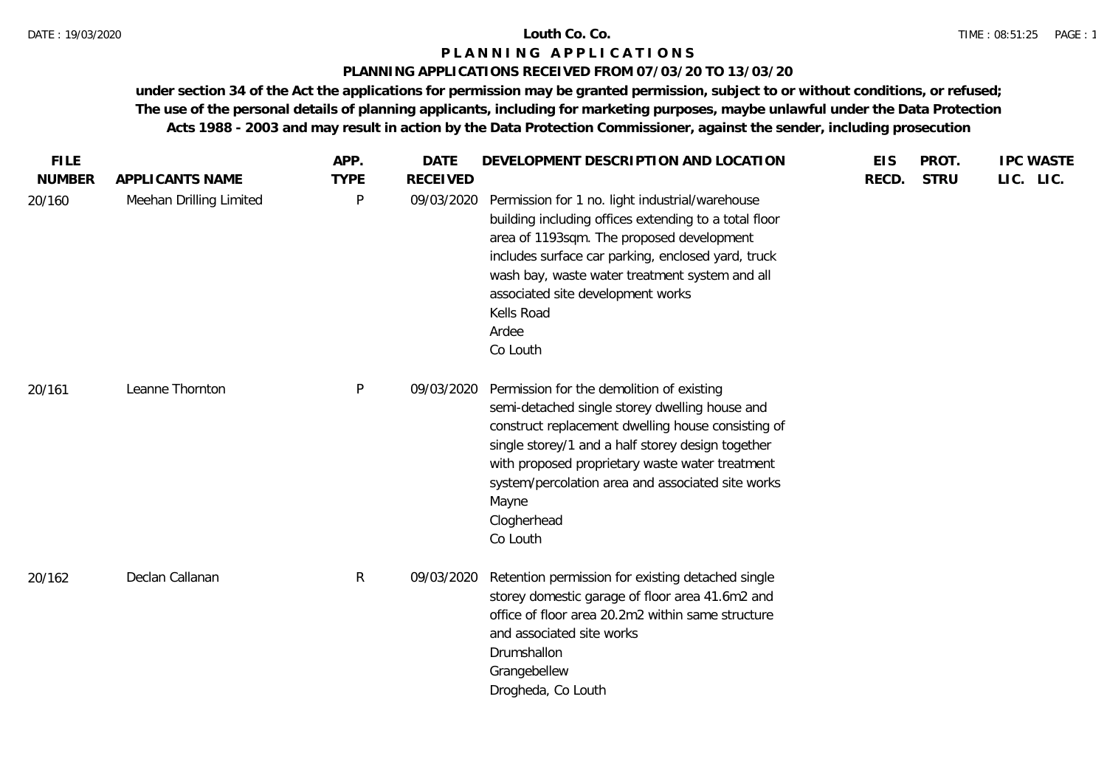# **PLANNING APPLICATIONS RECEIVED FROM 07/03/20 TO 13/03/20**

| <b>FILE</b>   |                         | APP.         | <b>DATE</b>     | DEVELOPMENT DESCRIPTION AND LOCATION                                                                                                                                                                                                                                                                                                               | <b>EIS</b> | PROT.       | <b>IPC WASTE</b> |
|---------------|-------------------------|--------------|-----------------|----------------------------------------------------------------------------------------------------------------------------------------------------------------------------------------------------------------------------------------------------------------------------------------------------------------------------------------------------|------------|-------------|------------------|
| <b>NUMBER</b> | APPLICANTS NAME         | <b>TYPE</b>  | <b>RECEIVED</b> |                                                                                                                                                                                                                                                                                                                                                    | RECD.      | <b>STRU</b> | LIC. LIC.        |
| 20/160        | Meehan Drilling Limited | P            | 09/03/2020      | Permission for 1 no. light industrial/warehouse<br>building including offices extending to a total floor<br>area of 1193sqm. The proposed development<br>includes surface car parking, enclosed yard, truck<br>wash bay, waste water treatment system and all<br>associated site development works<br>Kells Road<br>Ardee<br>Co Louth              |            |             |                  |
| 20/161        | Leanne Thornton         | $\mathsf{P}$ | 09/03/2020      | Permission for the demolition of existing<br>semi-detached single storey dwelling house and<br>construct replacement dwelling house consisting of<br>single storey/1 and a half storey design together<br>with proposed proprietary waste water treatment<br>system/percolation area and associated site works<br>Mayne<br>Clogherhead<br>Co Louth |            |             |                  |
| 20/162        | Declan Callanan         | R            | 09/03/2020      | Retention permission for existing detached single<br>storey domestic garage of floor area 41.6m2 and<br>office of floor area 20.2m2 within same structure<br>and associated site works<br>Drumshallon<br>Grangebellew<br>Drogheda, Co Louth                                                                                                        |            |             |                  |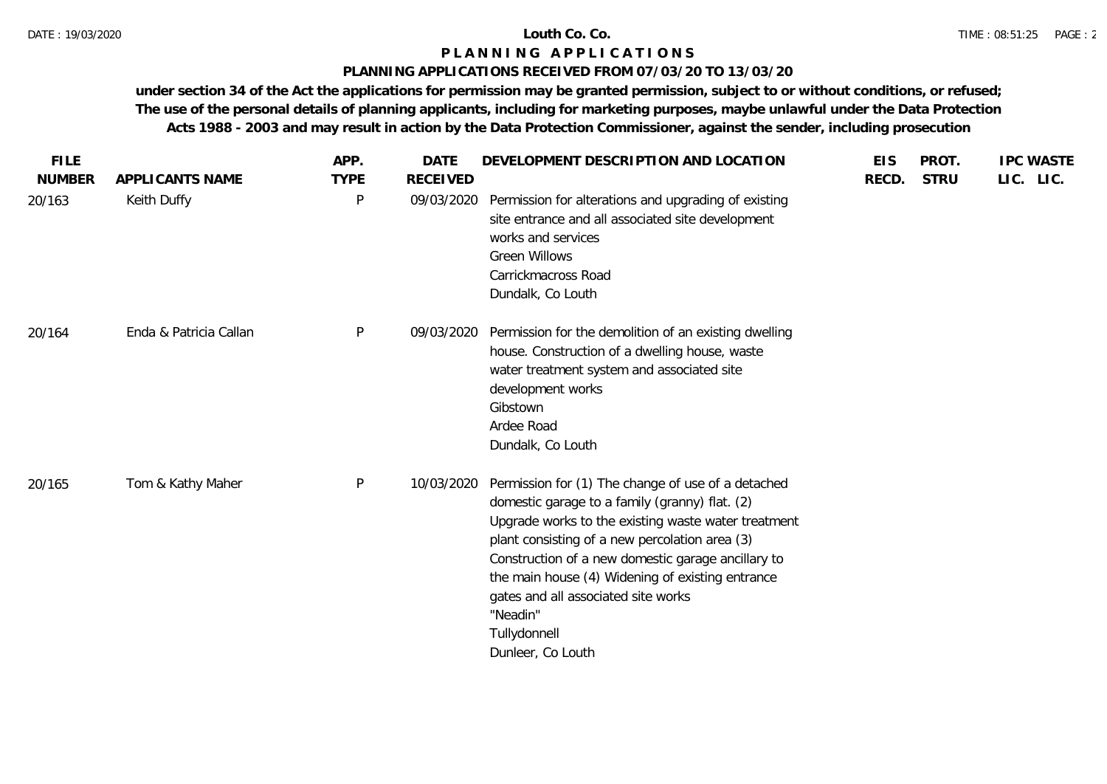# **PLANNING APPLICATIONS RECEIVED FROM 07/03/20 TO 13/03/20**

| <b>FILE</b>   |                        | APP.        | <b>DATE</b>     | DEVELOPMENT DESCRIPTION AND LOCATION                                                                                                                                                                                                                                                                                                                                                                            | <b>EIS</b> | PROT.       | <b>IPC WASTE</b> |
|---------------|------------------------|-------------|-----------------|-----------------------------------------------------------------------------------------------------------------------------------------------------------------------------------------------------------------------------------------------------------------------------------------------------------------------------------------------------------------------------------------------------------------|------------|-------------|------------------|
| <b>NUMBER</b> | APPLICANTS NAME        | <b>TYPE</b> | <b>RECEIVED</b> |                                                                                                                                                                                                                                                                                                                                                                                                                 | RECD.      | <b>STRU</b> | LIC. LIC.        |
| 20/163        | Keith Duffy            | P           | 09/03/2020      | Permission for alterations and upgrading of existing<br>site entrance and all associated site development<br>works and services<br><b>Green Willows</b><br>Carrickmacross Road<br>Dundalk, Co Louth                                                                                                                                                                                                             |            |             |                  |
| 20/164        | Enda & Patricia Callan | P           | 09/03/2020      | Permission for the demolition of an existing dwelling<br>house. Construction of a dwelling house, waste<br>water treatment system and associated site<br>development works<br>Gibstown<br>Ardee Road<br>Dundalk, Co Louth                                                                                                                                                                                       |            |             |                  |
| 20/165        | Tom & Kathy Maher      | P           | 10/03/2020      | Permission for (1) The change of use of a detached<br>domestic garage to a family (granny) flat. (2)<br>Upgrade works to the existing waste water treatment<br>plant consisting of a new percolation area (3)<br>Construction of a new domestic garage ancillary to<br>the main house (4) Widening of existing entrance<br>gates and all associated site works<br>"Neadin"<br>Tullydonnell<br>Dunleer, Co Louth |            |             |                  |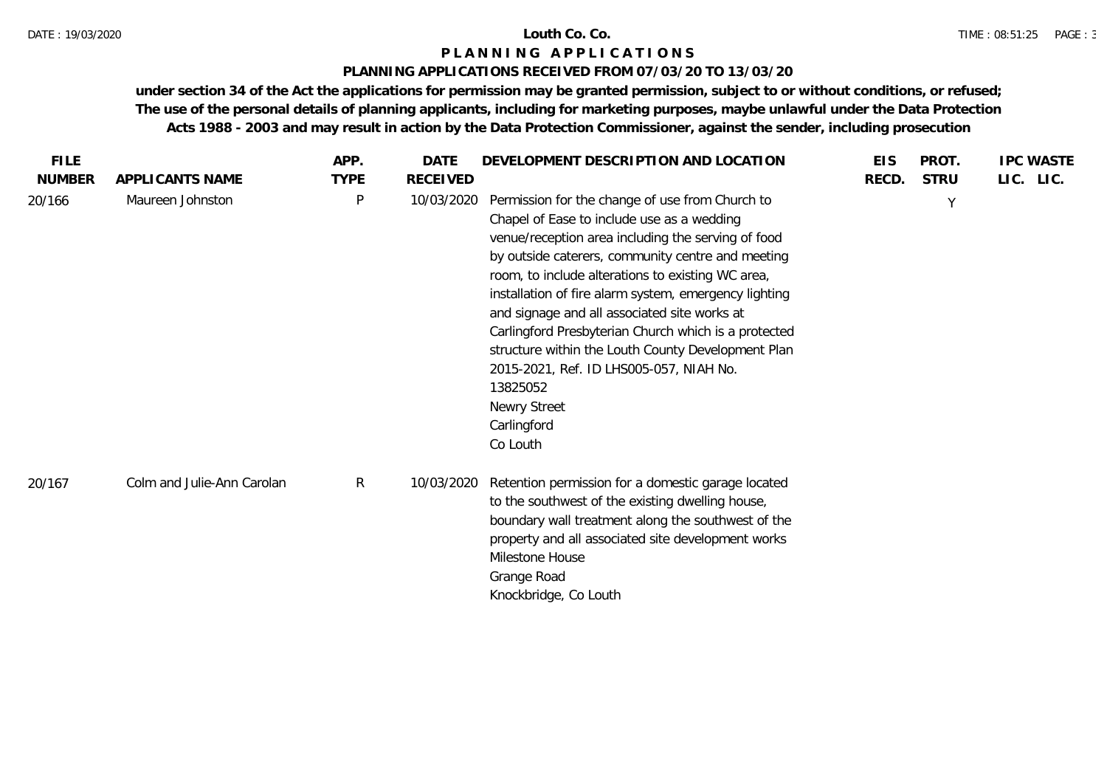# **PLANNING APPLICATIONS RECEIVED FROM 07/03/20 TO 13/03/20**

| <b>FILE</b>   |                            | APP.         | <b>DATE</b>     | DEVELOPMENT DESCRIPTION AND LOCATION                                                                                                                                                                                                                                                                                                                                                                                                                                                                                                                                                   | <b>EIS</b> | PROT.       | <b>IPC WASTE</b> |
|---------------|----------------------------|--------------|-----------------|----------------------------------------------------------------------------------------------------------------------------------------------------------------------------------------------------------------------------------------------------------------------------------------------------------------------------------------------------------------------------------------------------------------------------------------------------------------------------------------------------------------------------------------------------------------------------------------|------------|-------------|------------------|
| <b>NUMBER</b> | APPLICANTS NAME            | <b>TYPE</b>  | <b>RECEIVED</b> |                                                                                                                                                                                                                                                                                                                                                                                                                                                                                                                                                                                        | RECD.      | <b>STRU</b> | LIC. LIC.        |
| 20/166        | Maureen Johnston           | $\mathsf{P}$ | 10/03/2020      | Permission for the change of use from Church to<br>Chapel of Ease to include use as a wedding<br>venue/reception area including the serving of food<br>by outside caterers, community centre and meeting<br>room, to include alterations to existing WC area,<br>installation of fire alarm system, emergency lighting<br>and signage and all associated site works at<br>Carlingford Presbyterian Church which is a protected<br>structure within the Louth County Development Plan<br>2015-2021, Ref. ID LHS005-057, NIAH No.<br>13825052<br>Newry Street<br>Carlingford<br>Co Louth |            | Y           |                  |
| 20/167        | Colm and Julie-Ann Carolan | $\mathsf{R}$ | 10/03/2020      | Retention permission for a domestic garage located<br>to the southwest of the existing dwelling house,<br>boundary wall treatment along the southwest of the<br>property and all associated site development works<br>Milestone House<br>Grange Road<br>Knockbridge, Co Louth                                                                                                                                                                                                                                                                                                          |            |             |                  |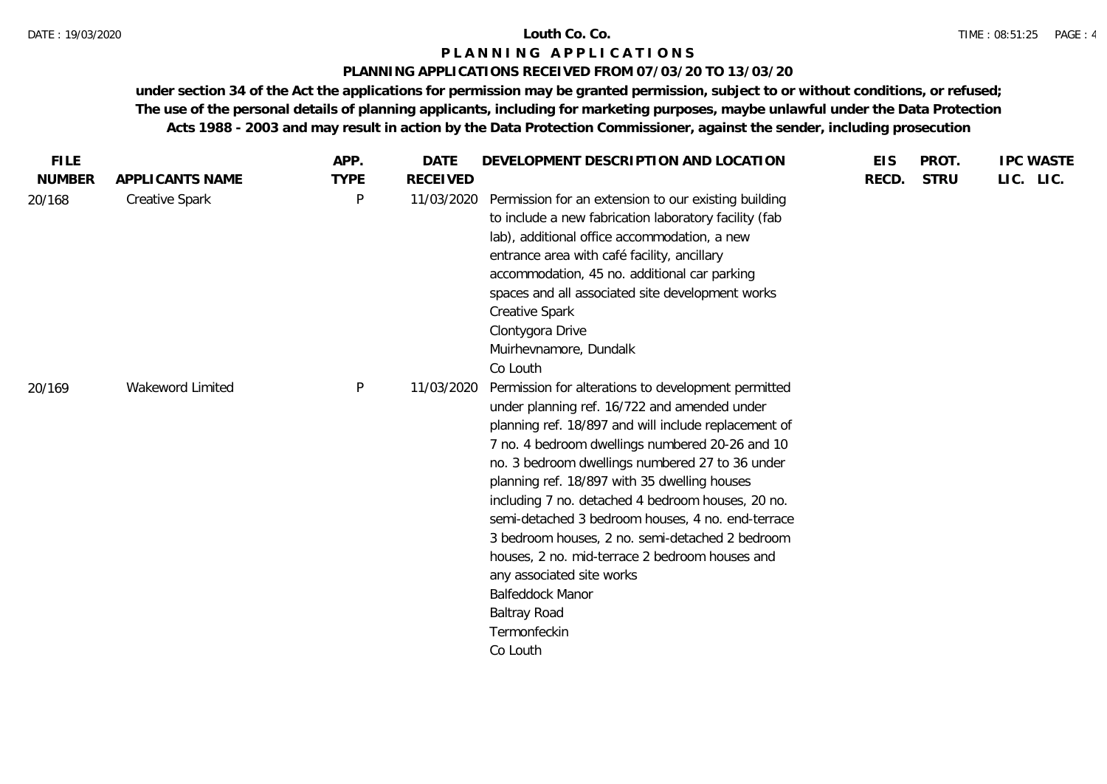# **PLANNING APPLICATIONS RECEIVED FROM 07/03/20 TO 13/03/20**

| <b>FILE</b>   |                       | APP.        | <b>DATE</b>     | DEVELOPMENT DESCRIPTION AND LOCATION                                                                                                                                                                                                                                                                                                                                                                                                                                                                                                                                                                                                 | <b>EIS</b> | PROT.       | <b>IPC WASTE</b> |
|---------------|-----------------------|-------------|-----------------|--------------------------------------------------------------------------------------------------------------------------------------------------------------------------------------------------------------------------------------------------------------------------------------------------------------------------------------------------------------------------------------------------------------------------------------------------------------------------------------------------------------------------------------------------------------------------------------------------------------------------------------|------------|-------------|------------------|
| <b>NUMBER</b> | APPLICANTS NAME       | <b>TYPE</b> | <b>RECEIVED</b> |                                                                                                                                                                                                                                                                                                                                                                                                                                                                                                                                                                                                                                      | RECD.      | <b>STRU</b> | LIC. LIC.        |
| 20/168        | <b>Creative Spark</b> | P           | 11/03/2020      | Permission for an extension to our existing building<br>to include a new fabrication laboratory facility (fab<br>lab), additional office accommodation, a new<br>entrance area with café facility, ancillary<br>accommodation, 45 no. additional car parking<br>spaces and all associated site development works<br><b>Creative Spark</b><br>Clontygora Drive<br>Muirhevnamore, Dundalk<br>Co Louth                                                                                                                                                                                                                                  |            |             |                  |
| 20/169        | Wakeword Limited      | P           | 11/03/2020      | Permission for alterations to development permitted<br>under planning ref. 16/722 and amended under<br>planning ref. 18/897 and will include replacement of<br>7 no. 4 bedroom dwellings numbered 20-26 and 10<br>no. 3 bedroom dwellings numbered 27 to 36 under<br>planning ref. 18/897 with 35 dwelling houses<br>including 7 no. detached 4 bedroom houses, 20 no.<br>semi-detached 3 bedroom houses, 4 no. end-terrace<br>3 bedroom houses, 2 no. semi-detached 2 bedroom<br>houses, 2 no. mid-terrace 2 bedroom houses and<br>any associated site works<br>Balfeddock Manor<br><b>Baltray Road</b><br>Termonfeckin<br>Co Louth |            |             |                  |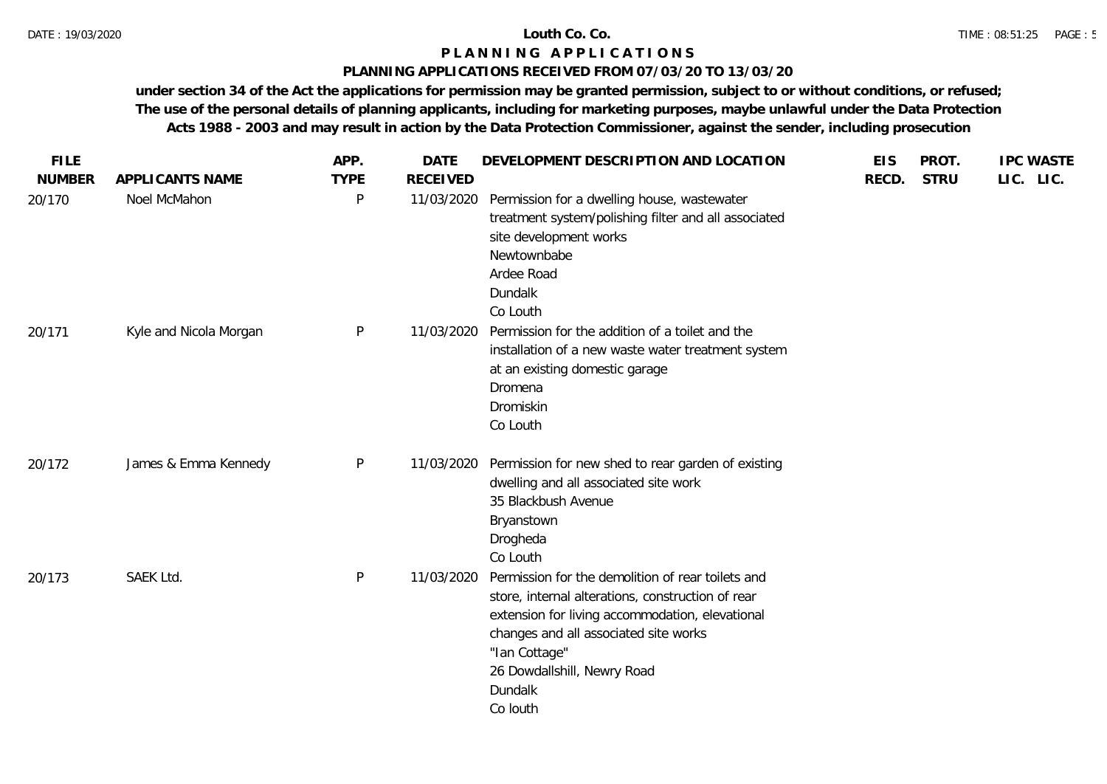# **PLANNING APPLICATIONS RECEIVED FROM 07/03/20 TO 13/03/20**

| <b>FILE</b>   |                        | APP.        | <b>DATE</b>     | DEVELOPMENT DESCRIPTION AND LOCATION                                                                                                                                                                                                                                      | <b>EIS</b> | PROT.       | <b>IPC WASTE</b> |
|---------------|------------------------|-------------|-----------------|---------------------------------------------------------------------------------------------------------------------------------------------------------------------------------------------------------------------------------------------------------------------------|------------|-------------|------------------|
| <b>NUMBER</b> | APPLICANTS NAME        | <b>TYPE</b> | <b>RECEIVED</b> |                                                                                                                                                                                                                                                                           | RECD.      | <b>STRU</b> | LIC. LIC.        |
| 20/170        | Noel McMahon           | P           | 11/03/2020      | Permission for a dwelling house, wastewater<br>treatment system/polishing filter and all associated<br>site development works<br>Newtownbabe<br>Ardee Road<br>Dundalk<br>Co Louth                                                                                         |            |             |                  |
| 20/171        | Kyle and Nicola Morgan | P           | 11/03/2020      | Permission for the addition of a toilet and the<br>installation of a new waste water treatment system<br>at an existing domestic garage<br>Dromena<br>Dromiskin<br>Co Louth                                                                                               |            |             |                  |
| 20/172        | James & Emma Kennedy   | P           | 11/03/2020      | Permission for new shed to rear garden of existing<br>dwelling and all associated site work<br>35 Blackbush Avenue<br>Bryanstown<br>Drogheda<br>Co Louth                                                                                                                  |            |             |                  |
| 20/173        | SAEK Ltd.              | P           | 11/03/2020      | Permission for the demolition of rear toilets and<br>store, internal alterations, construction of rear<br>extension for living accommodation, elevational<br>changes and all associated site works<br>"Ian Cottage"<br>26 Dowdallshill, Newry Road<br>Dundalk<br>Co louth |            |             |                  |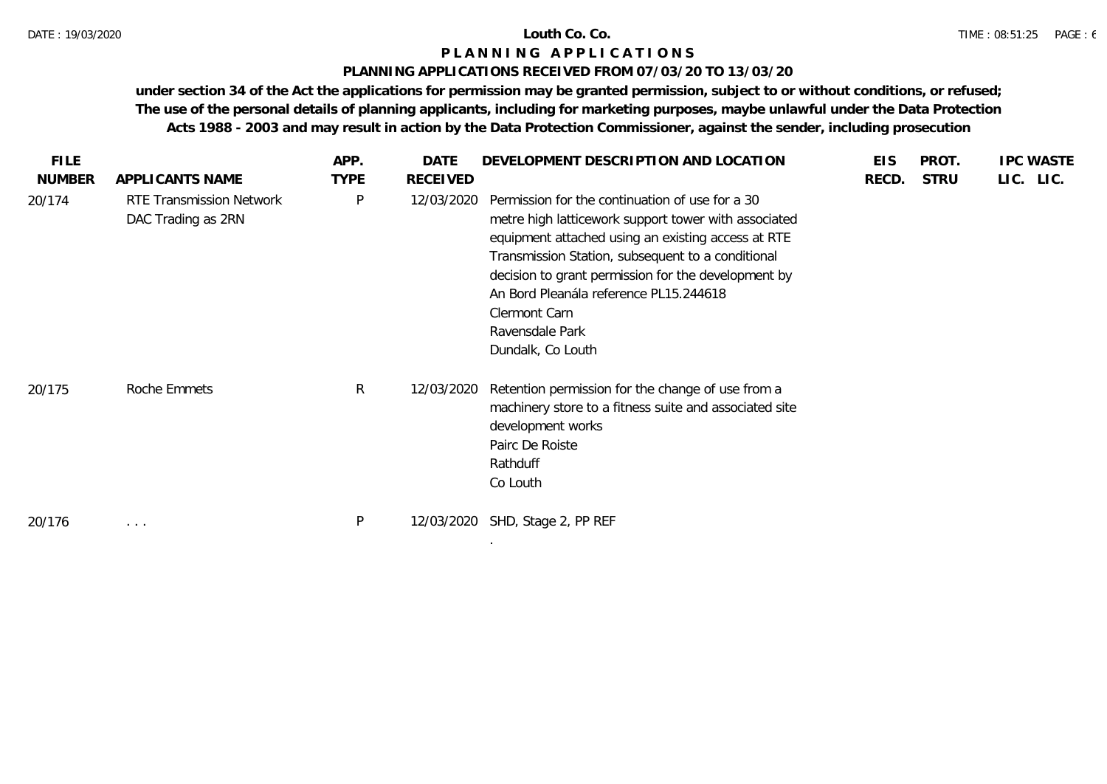# **PLANNING APPLICATIONS RECEIVED FROM 07/03/20 TO 13/03/20**

| <b>FILE</b>   |                                                       | APP.        | DATE       | DEVELOPMENT DESCRIPTION AND LOCATION                                                                                                                                                                                                                                                                                                                                         | <b>EIS</b> | <b>PROT</b> | <b>IPC WASTE</b> |
|---------------|-------------------------------------------------------|-------------|------------|------------------------------------------------------------------------------------------------------------------------------------------------------------------------------------------------------------------------------------------------------------------------------------------------------------------------------------------------------------------------------|------------|-------------|------------------|
| <b>NUMBER</b> | APPLICANTS NAME                                       | <b>TYPE</b> | RECEIVED   |                                                                                                                                                                                                                                                                                                                                                                              | RECD.      | <b>STRU</b> | LIC. LIC.        |
| 20/174        | <b>RTE Transmission Network</b><br>DAC Trading as 2RN | P           | 12/03/2020 | Permission for the continuation of use for a 30<br>metre high latticework support tower with associated<br>equipment attached using an existing access at RTE<br>Transmission Station, subsequent to a conditional<br>decision to grant permission for the development by<br>An Bord Pleanála reference PL15.244618<br>Clermont Carn<br>Ravensdale Park<br>Dundalk, Co Louth |            |             |                  |
| 20/175        | Roche Emmets                                          | R           | 12/03/2020 | Retention permission for the change of use from a<br>machinery store to a fitness suite and associated site<br>development works<br>Pairc De Roiste<br>Rathduff<br>Co Louth                                                                                                                                                                                                  |            |             |                  |
| 20/176        | $\cdots$                                              | P           | 12/03/2020 | SHD, Stage 2, PP REF                                                                                                                                                                                                                                                                                                                                                         |            |             |                  |
|               |                                                       |             |            | $\sim$                                                                                                                                                                                                                                                                                                                                                                       |            |             |                  |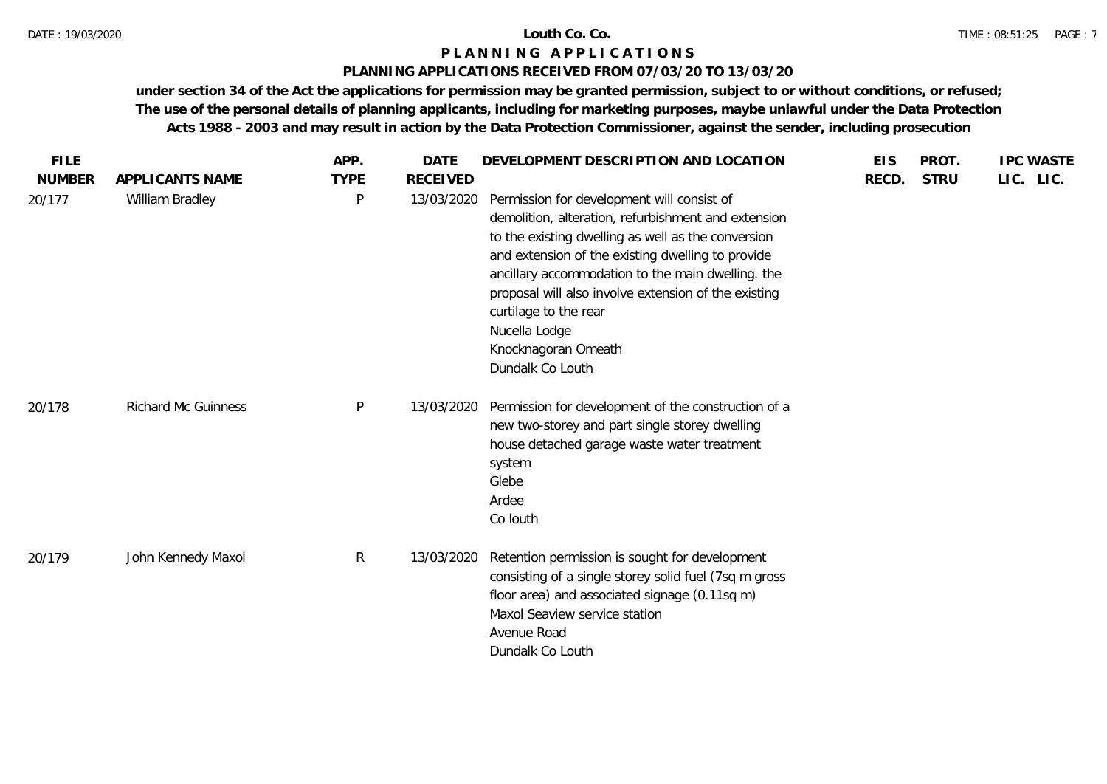# **PLANNING APPLICATIONS RECEIVED FROM 07/03/20 TO 13/03/20**

| <b>FILE</b>             |                                    | APP.             | <b>DATE</b>                   | DEVELOPMENT DESCRIPTION AND LOCATION                                                                                                                                                                                                                | <b>EIS</b> | PROT.       | <b>IPC WASTE</b> |
|-------------------------|------------------------------------|------------------|-------------------------------|-----------------------------------------------------------------------------------------------------------------------------------------------------------------------------------------------------------------------------------------------------|------------|-------------|------------------|
| <b>NUMBER</b><br>20/177 | APPLICANTS NAME<br>William Bradley | <b>TYPE</b><br>P | <b>RECEIVED</b><br>13/03/2020 | Permission for development will consist of<br>demolition, alteration, refurbishment and extension<br>to the existing dwelling as well as the conversion                                                                                             | RECD.      | <b>STRU</b> | LIC. LIC.        |
|                         |                                    |                  |                               | and extension of the existing dwelling to provide<br>ancillary accommodation to the main dwelling. the<br>proposal will also involve extension of the existing<br>curtilage to the rear<br>Nucella Lodge<br>Knocknagoran Omeath<br>Dundalk Co Louth |            |             |                  |
| 20/178                  | <b>Richard Mc Guinness</b>         | $\mathsf{P}$     | 13/03/2020                    | Permission for development of the construction of a<br>new two-storey and part single storey dwelling<br>house detached garage waste water treatment<br>system<br>Glebe<br>Ardee<br>Co louth                                                        |            |             |                  |
| 20/179                  | John Kennedy Maxol                 | $\mathsf{R}$     | 13/03/2020                    | Retention permission is sought for development<br>consisting of a single storey solid fuel (7sq m gross<br>floor area) and associated signage (0.11sq m)<br>Maxol Seaview service station<br>Avenue Road<br>Dundalk Co Louth                        |            |             |                  |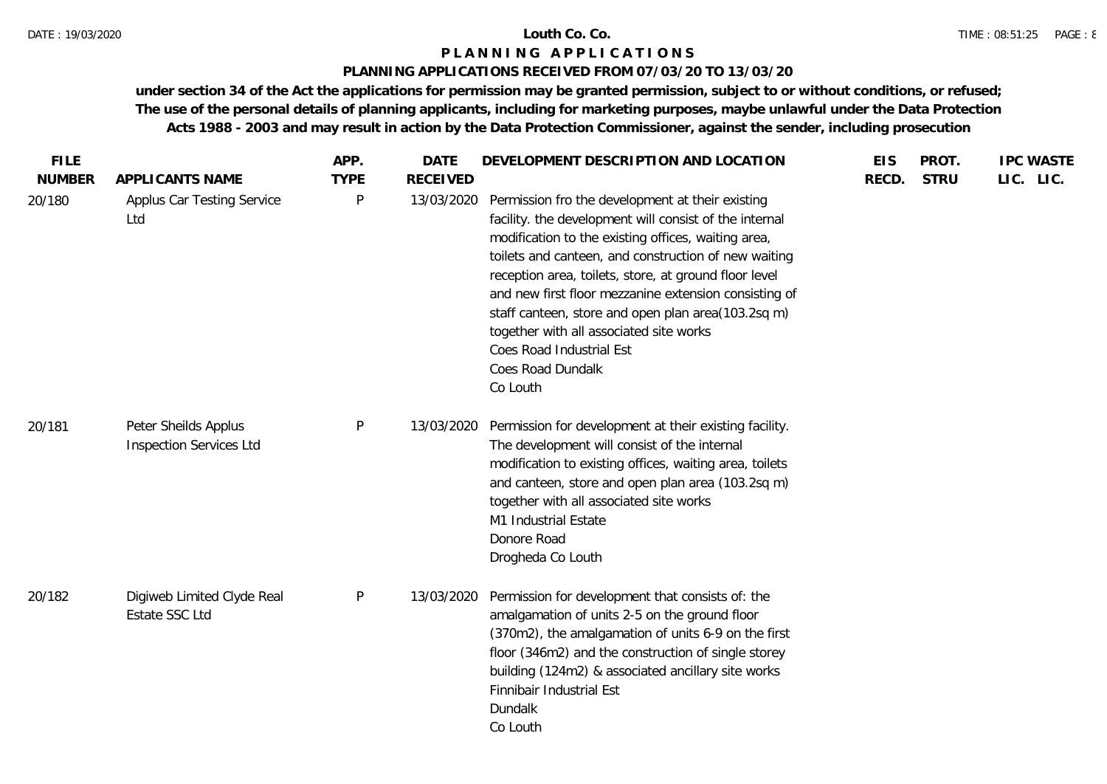# **PLANNING APPLICATIONS RECEIVED FROM 07/03/20 TO 13/03/20**

| <b>FILE</b><br><b>NUMBER</b> | APPLICANTS NAME                                        | APP.<br><b>TYPE</b> | <b>DATE</b><br><b>RECEIVED</b> | DEVELOPMENT DESCRIPTION AND LOCATION                                                                                                                                                                                                                                                                                                                                                                                                                                                                      | <b>EIS</b><br>RECD. | PROT.<br><b>STRU</b> | <b>IPC WASTE</b><br>LIC. LIC. |
|------------------------------|--------------------------------------------------------|---------------------|--------------------------------|-----------------------------------------------------------------------------------------------------------------------------------------------------------------------------------------------------------------------------------------------------------------------------------------------------------------------------------------------------------------------------------------------------------------------------------------------------------------------------------------------------------|---------------------|----------------------|-------------------------------|
| 20/180                       | Applus Car Testing Service<br>Ltd                      | P                   | 13/03/2020                     | Permission fro the development at their existing<br>facility. the development will consist of the internal<br>modification to the existing offices, waiting area,<br>toilets and canteen, and construction of new waiting<br>reception area, toilets, store, at ground floor level<br>and new first floor mezzanine extension consisting of<br>staff canteen, store and open plan area(103.2sq m)<br>together with all associated site works<br>Coes Road Industrial Est<br>Coes Road Dundalk<br>Co Louth |                     |                      |                               |
| 20/181                       | Peter Sheilds Applus<br><b>Inspection Services Ltd</b> | P                   | 13/03/2020                     | Permission for development at their existing facility.<br>The development will consist of the internal<br>modification to existing offices, waiting area, toilets<br>and canteen, store and open plan area (103.2sq m)<br>together with all associated site works<br>M1 Industrial Estate<br>Donore Road<br>Drogheda Co Louth                                                                                                                                                                             |                     |                      |                               |
| 20/182                       | Digiweb Limited Clyde Real<br>Estate SSC Ltd           | P                   | 13/03/2020                     | Permission for development that consists of: the<br>amalgamation of units 2-5 on the ground floor<br>(370m2), the amalgamation of units 6-9 on the first<br>floor (346m2) and the construction of single storey<br>building (124m2) & associated ancillary site works<br>Finnibair Industrial Est<br>Dundalk<br>Co Louth                                                                                                                                                                                  |                     |                      |                               |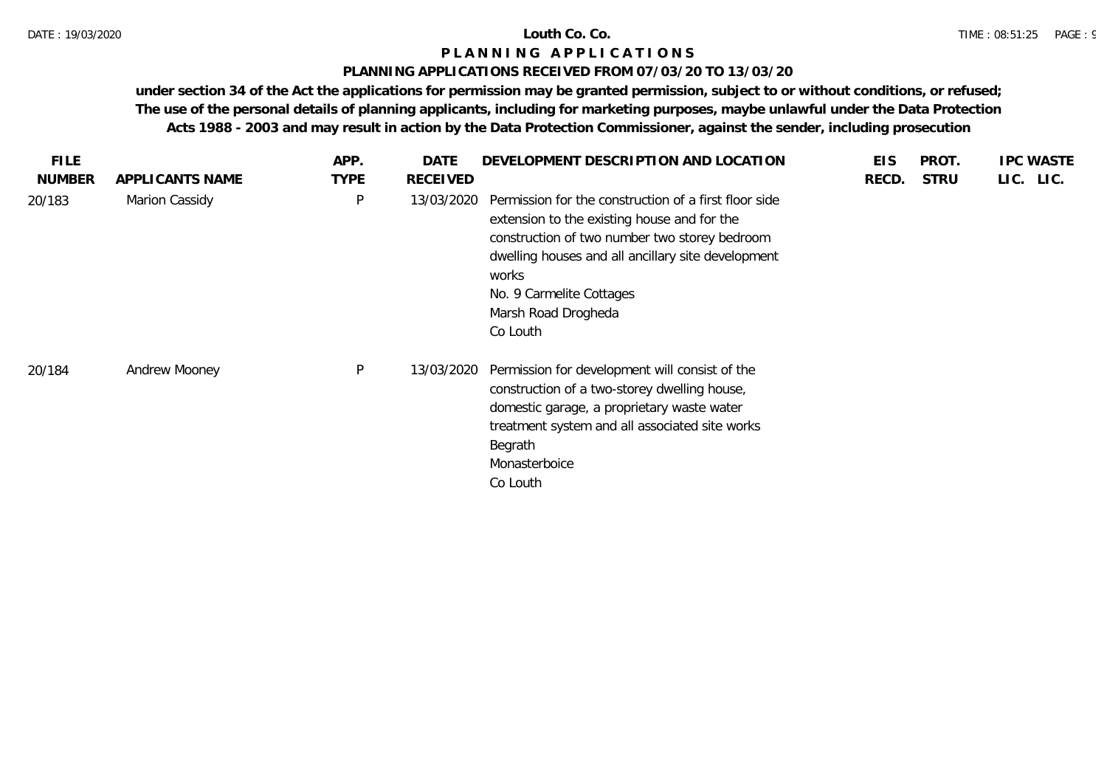# **PLANNING APPLICATIONS RECEIVED FROM 07/03/20 TO 13/03/20**

| <b>FILE</b>   |                 | APP.         | DATE            | DEVELOPMENT DESCRIPTION AND LOCATION                                                                                                                                                                                                                                                | <b>EIS</b> | PROT.       | <b>IPC WASTE</b> |
|---------------|-----------------|--------------|-----------------|-------------------------------------------------------------------------------------------------------------------------------------------------------------------------------------------------------------------------------------------------------------------------------------|------------|-------------|------------------|
| <b>NUMBER</b> | APPLICANTS NAME | <b>TYPE</b>  | <b>RECEIVED</b> |                                                                                                                                                                                                                                                                                     | RECD.      | <b>STRU</b> | LIC. LIC.        |
| 20/183        | Marion Cassidy  | $\mathsf{P}$ | 13/03/2020      | Permission for the construction of a first floor side<br>extension to the existing house and for the<br>construction of two number two storey bedroom<br>dwelling houses and all ancillary site development<br>works<br>No. 9 Carmelite Cottages<br>Marsh Road Drogheda<br>Co Louth |            |             |                  |
| 20/184        | Andrew Mooney   | P            | 13/03/2020      | Permission for development will consist of the<br>construction of a two-storey dwelling house,<br>domestic garage, a proprietary waste water<br>treatment system and all associated site works<br>Begrath<br>Monasterboice<br>Co Louth                                              |            |             |                  |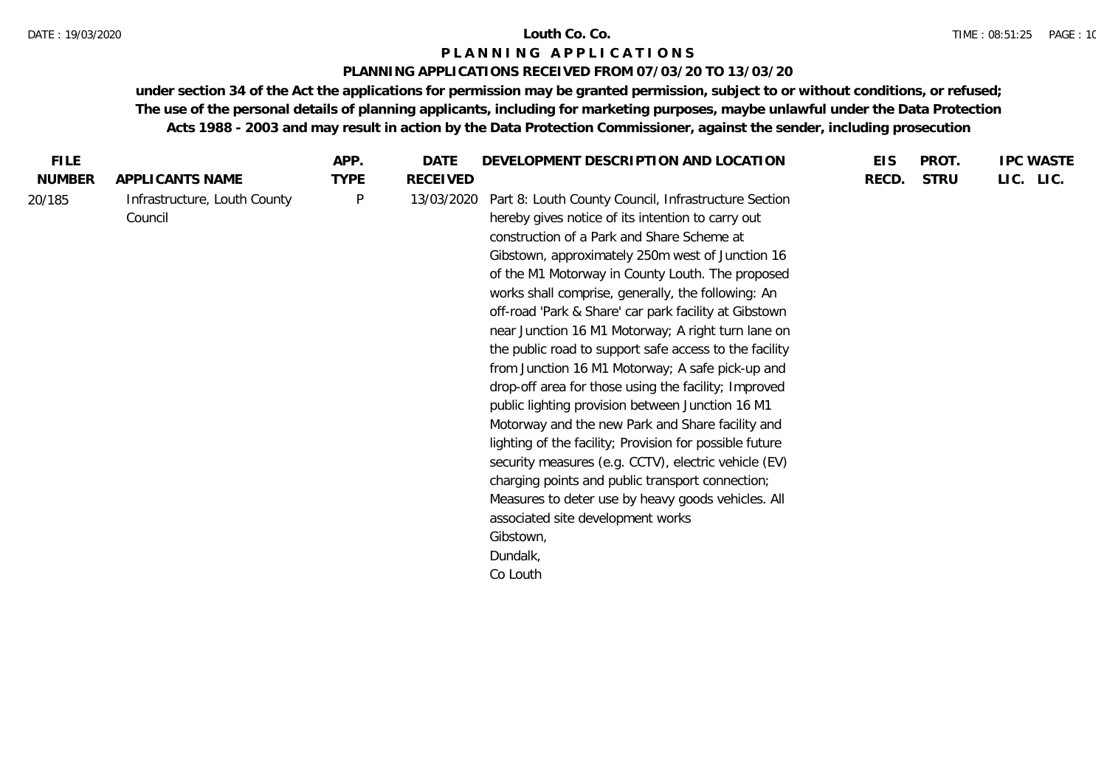### DATE : 19/03/2020 **Louth Co. Co.**

# **P L A N N I N G A P P L I C A T I O N S**

# **PLANNING APPLICATIONS RECEIVED FROM 07/03/20 TO 13/03/20**

| LIC. LIC.<br><b>NUMBER</b><br><b>TYPE</b><br><b>RECEIVED</b><br><b>STRU</b><br>APPLICANTS NAME<br>RECD.<br>Part 8: Louth County Council, Infrastructure Section<br>Infrastructure, Louth County<br>P<br>13/03/2020<br>20/185<br>hereby gives notice of its intention to carry out<br>Council<br>construction of a Park and Share Scheme at<br>Gibstown, approximately 250m west of Junction 16<br>of the M1 Motorway in County Louth. The proposed<br>works shall comprise, generally, the following: An<br>off-road 'Park & Share' car park facility at Gibstown<br>near Junction 16 M1 Motorway; A right turn lane on<br>the public road to support safe access to the facility<br>from Junction 16 M1 Motorway; A safe pick-up and<br>drop-off area for those using the facility; Improved<br>public lighting provision between Junction 16 M1<br>Motorway and the new Park and Share facility and<br>lighting of the facility; Provision for possible future<br>security measures (e.g. CCTV), electric vehicle (EV)<br>charging points and public transport connection;<br>Measures to deter use by heavy goods vehicles. All<br>associated site development works<br>Gibstown,<br>Dundalk, | <b>FILE</b> | APP. | DATE | DEVELOPMENT DESCRIPTION AND LOCATION | <b>EIS</b> | PROT. | <b>IPC WASTE</b> |
|--------------------------------------------------------------------------------------------------------------------------------------------------------------------------------------------------------------------------------------------------------------------------------------------------------------------------------------------------------------------------------------------------------------------------------------------------------------------------------------------------------------------------------------------------------------------------------------------------------------------------------------------------------------------------------------------------------------------------------------------------------------------------------------------------------------------------------------------------------------------------------------------------------------------------------------------------------------------------------------------------------------------------------------------------------------------------------------------------------------------------------------------------------------------------------------------------|-------------|------|------|--------------------------------------|------------|-------|------------------|
|                                                                                                                                                                                                                                                                                                                                                                                                                                                                                                                                                                                                                                                                                                                                                                                                                                                                                                                                                                                                                                                                                                                                                                                                  |             |      |      |                                      |            |       |                  |
|                                                                                                                                                                                                                                                                                                                                                                                                                                                                                                                                                                                                                                                                                                                                                                                                                                                                                                                                                                                                                                                                                                                                                                                                  |             |      |      | Co Louth                             |            |       |                  |